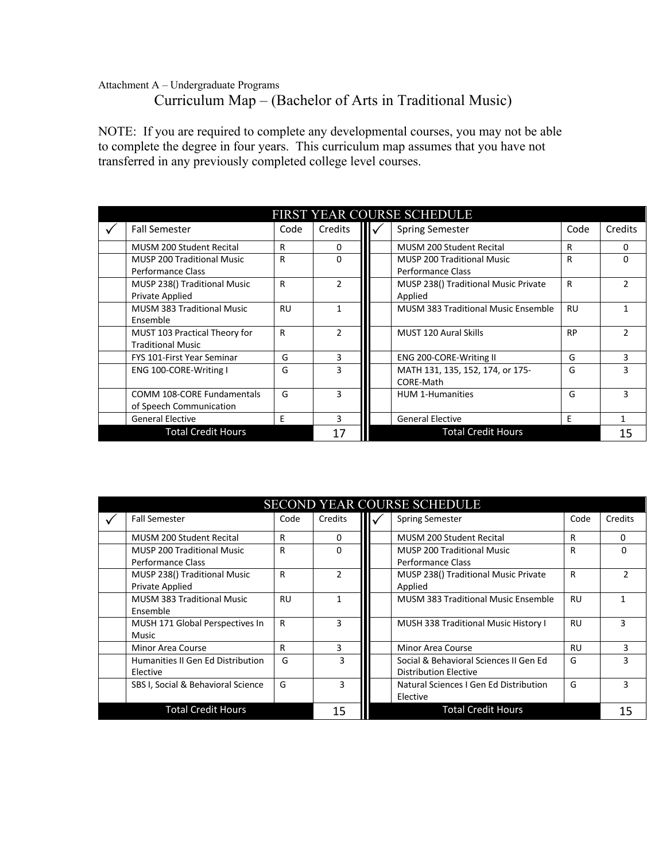## Attachment A – Undergraduate Programs Curriculum Map – (Bachelor of Arts in Traditional Music)

NOTE: If you are required to complete any developmental courses, you may not be able to complete the degree in four years. This curriculum map assumes that you have not transferred in any previously completed college level courses.

| FIRST YEAR COURSE SCHEDULE |                                   |           |               |  |                                            |           |               |  |
|----------------------------|-----------------------------------|-----------|---------------|--|--------------------------------------------|-----------|---------------|--|
|                            | <b>Fall Semester</b>              | Code      | Credits       |  | <b>Spring Semester</b>                     | Code      | Credits       |  |
|                            | <b>MUSM 200 Student Recital</b>   | R         | 0             |  | MUSM 200 Student Recital                   | R         | 0             |  |
|                            | <b>MUSP 200 Traditional Music</b> | R         | ŋ             |  | <b>MUSP 200 Traditional Music</b>          | R         | 0             |  |
|                            | Performance Class                 |           |               |  | Performance Class                          |           |               |  |
|                            | MUSP 238() Traditional Music      | R         | $\mathfrak z$ |  | MUSP 238() Traditional Music Private       | R         | $\mathcal{P}$ |  |
|                            | Private Applied                   |           |               |  | Applied                                    |           |               |  |
|                            | <b>MUSM 383 Traditional Music</b> | <b>RU</b> |               |  | <b>MUSM 383 Traditional Music Ensemble</b> | <b>RU</b> |               |  |
|                            | Ensemble                          |           |               |  |                                            |           |               |  |
|                            | MUST 103 Practical Theory for     | R         | $\mathcal{P}$ |  | MUST 120 Aural Skills                      | <b>RP</b> | $\mathcal{P}$ |  |
|                            | <b>Traditional Music</b>          |           |               |  |                                            |           |               |  |
|                            | <b>FYS 101-First Year Seminar</b> | G         | 3             |  | ENG 200-CORE-Writing II                    | G         | 3             |  |
|                            | ENG 100-CORE-Writing I            | G         | 3             |  | MATH 131, 135, 152, 174, or 175-           | G         | 3             |  |
|                            |                                   |           |               |  | CORE-Math                                  |           |               |  |
|                            | COMM 108-CORE Fundamentals        | G         | ٩             |  | <b>HUM 1-Humanities</b>                    | G         | 3             |  |
|                            | of Speech Communication           |           |               |  |                                            |           |               |  |
|                            | <b>General Elective</b>           | F         | 3             |  | <b>General Elective</b>                    | F         | 1             |  |
|                            | <b>Total Credit Hours</b>         |           | 17            |  | <b>Total Credit Hours</b>                  |           | 15            |  |

| <b>SECOND YEAR COURSE SCHEDULE</b> |                                                               |           |               |  |                                                                        |           |               |  |  |
|------------------------------------|---------------------------------------------------------------|-----------|---------------|--|------------------------------------------------------------------------|-----------|---------------|--|--|
| ✓                                  | <b>Fall Semester</b>                                          | Code      | Credits       |  | <b>Spring Semester</b>                                                 | Code      | Credits       |  |  |
|                                    | <b>MUSM 200 Student Recital</b>                               | R         | 0             |  | <b>MUSM 200 Student Recital</b>                                        | R         | 0             |  |  |
|                                    | <b>MUSP 200 Traditional Music</b><br><b>Performance Class</b> | R         | <sup>0</sup>  |  | <b>MUSP 200 Traditional Music</b><br><b>Performance Class</b>          | R         | $\Omega$      |  |  |
|                                    | MUSP 238() Traditional Music<br><b>Private Applied</b>        | R         | $\mathcal{P}$ |  | MUSP 238() Traditional Music Private<br>Applied                        | R         | $\mathcal{P}$ |  |  |
|                                    | <b>MUSM 383 Traditional Music</b><br>Ensemble                 | <b>RU</b> |               |  | <b>MUSM 383 Traditional Music Ensemble</b>                             | RU        | 1             |  |  |
|                                    | MUSH 171 Global Perspectives In<br>Music                      | R         |               |  | <b>MUSH 338 Traditional Music History I</b>                            | <b>RU</b> | 3             |  |  |
|                                    | Minor Area Course                                             | R         | 3             |  | Minor Area Course                                                      | <b>RU</b> | 3             |  |  |
|                                    | Humanities II Gen Ed Distribution<br>Elective                 | G         | 3             |  | Social & Behavioral Sciences II Gen Ed<br><b>Distribution Elective</b> | G         | 3             |  |  |
|                                    | SBS I, Social & Behavioral Science                            | G         | 3             |  | Natural Sciences I Gen Ed Distribution<br>Elective                     | G         | 3             |  |  |
|                                    | <b>Total Credit Hours</b>                                     |           | 15            |  | <b>Total Credit Hours</b>                                              |           | 15            |  |  |